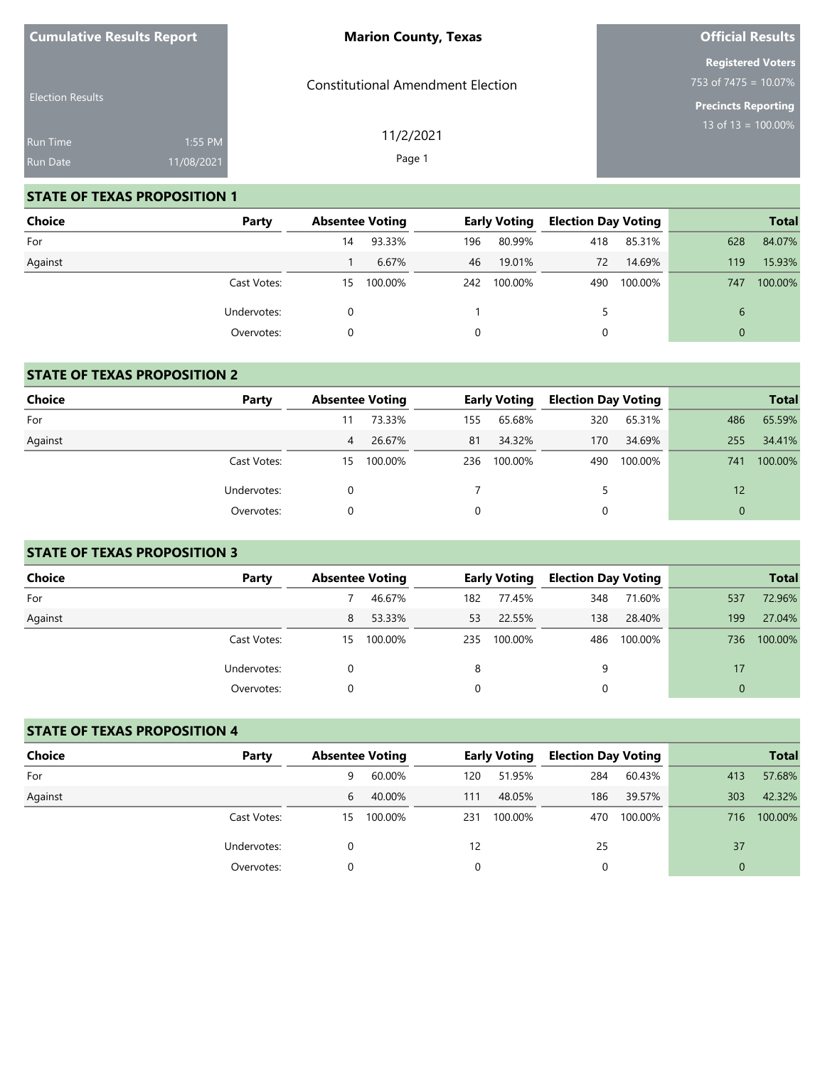| <b>Cumulative Results Report</b> |            | <b>Marion County, Texas</b>              | <b>Official Results</b>                             |
|----------------------------------|------------|------------------------------------------|-----------------------------------------------------|
|                                  |            | <b>Constitutional Amendment Election</b> | <b>Registered Voters</b><br>753 of $7475 = 10.07\%$ |
| <b>Election Results</b>          |            |                                          | <b>Precincts Reporting</b>                          |
| <b>Run Time</b>                  | 1:55 PM    | 11/2/2021                                | 13 of 13 = $\overline{100.00\%}$                    |
| Run Date                         | 11/08/2021 | Page 1                                   |                                                     |

**Official Results**

## **STATE OF TEXAS PROPOSITION 1**

**Cumulative Results Report**

| <b>Choice</b> | Party       | <b>Absentee Voting</b> |         |     | <b>Early Voting</b> | <b>Election Day Voting</b> |         |          | <b>Total</b> |
|---------------|-------------|------------------------|---------|-----|---------------------|----------------------------|---------|----------|--------------|
| For           |             | 14                     | 93.33%  | 196 | 80.99%              | 418                        | 85.31%  | 628      | 84.07%       |
| Against       |             |                        | 6.67%   | 46  | 19.01%              | 72                         | 14.69%  | 119      | 15.93%       |
|               | Cast Votes: | 15                     | 100.00% | 242 | 100.00%             | 490                        | 100.00% | 747      | 100.00%      |
|               | Undervotes: |                        |         |     |                     |                            |         | 6        |              |
|               | Overvotes:  |                        |         | 0   |                     | 0                          |         | $\Omega$ |              |

## **STATE OF TEXAS PROPOSITION 2**

| <b>Choice</b> | Party       | <b>Absentee Voting</b> |         |     | <b>Early Voting</b> | <b>Election Day Voting</b> |         |          | <b>Total</b> |
|---------------|-------------|------------------------|---------|-----|---------------------|----------------------------|---------|----------|--------------|
| For           |             |                        | 73.33%  | 155 | 65.68%              | 320                        | 65.31%  | 486      | 65.59%       |
| Against       |             | 4                      | 26.67%  | 81  | 34.32%              | 170                        | 34.69%  | 255      | 34.41%       |
|               | Cast Votes: | 15                     | 100.00% | 236 | 100.00%             | 490                        | 100.00% | 741      | 100.00%      |
|               | Undervotes: |                        |         |     |                     |                            |         | 12       |              |
|               | Overvotes:  |                        |         | 0   |                     | 0                          |         | $\Omega$ |              |

## **STATE OF TEXAS PROPOSITION 3**

| Choice  | Party       | <b>Absentee Voting</b> |         |     | <b>Early Voting</b> | <b>Election Day Voting</b> |         |          | <b>Total</b> |
|---------|-------------|------------------------|---------|-----|---------------------|----------------------------|---------|----------|--------------|
| For     |             |                        | 46.67%  | 182 | 77.45%              | 348                        | 71.60%  | 537      | 72.96%       |
| Against |             | 8                      | 53.33%  | 53  | 22.55%              | 138                        | 28.40%  | 199      | 27.04%       |
|         | Cast Votes: | 15                     | 100.00% | 235 | 100.00%             | 486                        | 100.00% | 736      | 100.00%      |
|         | Undervotes: |                        |         | 8   |                     | 9                          |         | 17       |              |
|         | Overvotes:  |                        |         |     |                     |                            |         | $\Omega$ |              |

#### **STATE OF TEXAS PROPOSITION 4**

| Choice  | Party       | <b>Absentee Voting</b> |         |     | <b>Early Voting</b> | <b>Election Day Voting</b> |         |          | <b>Total</b> |
|---------|-------------|------------------------|---------|-----|---------------------|----------------------------|---------|----------|--------------|
| For     |             | 9                      | 60.00%  | 120 | 51.95%              | 284                        | 60.43%  | 413      | 57.68%       |
| Against |             | 6                      | 40.00%  | 111 | 48.05%              | 186                        | 39.57%  | 303      | 42.32%       |
|         | Cast Votes: | 15                     | 100.00% | 231 | 100.00%             | 470                        | 100.00% | 716      | 100.00%      |
|         | Undervotes: |                        |         | 12  |                     | 25                         |         | 37       |              |
|         | Overvotes:  |                        |         | 0   |                     | 0                          |         | $\Omega$ |              |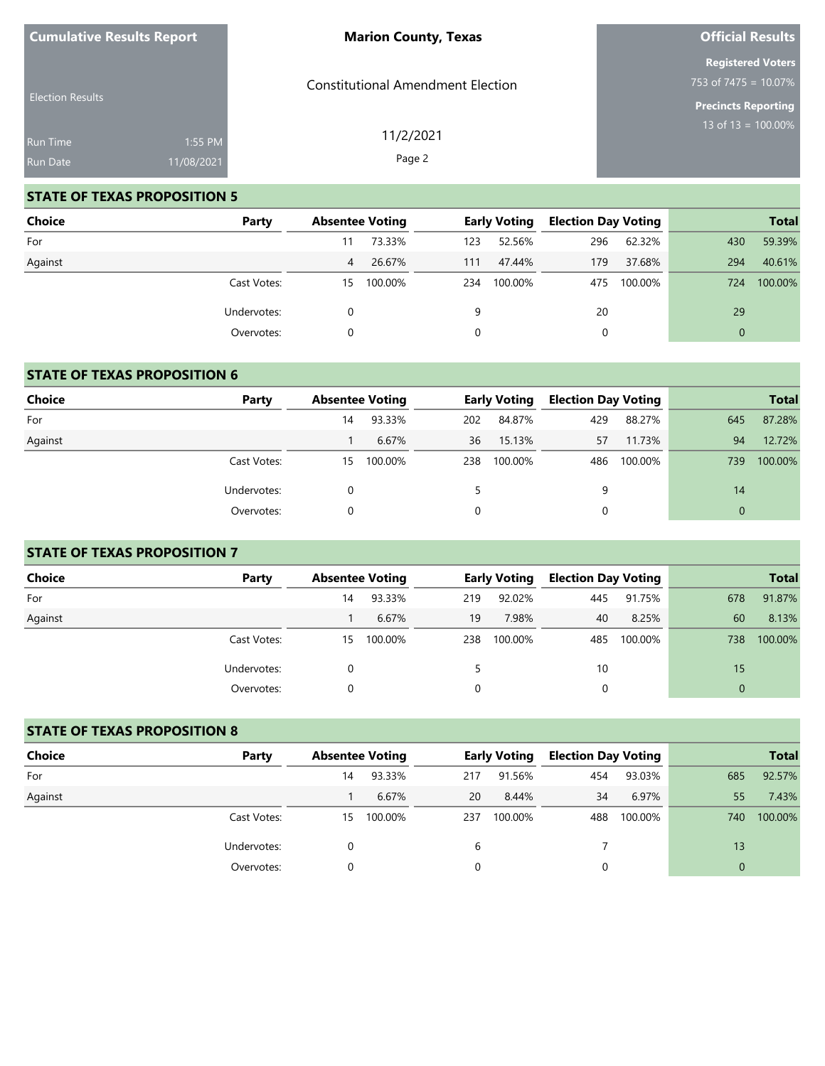| <b>Cumulative Results Report</b> |            | <b>Marion County, Texas</b>              | <b>Official Results</b>                                        |
|----------------------------------|------------|------------------------------------------|----------------------------------------------------------------|
|                                  |            | <b>Constitutional Amendment Election</b> | <b>Registered Voters</b><br>753 of $7475 = 10.07\%$            |
| <b>Election Results</b>          |            |                                          | <b>Precincts Reporting</b><br>13 of 13 = $\overline{100.00\%}$ |
| <b>Run Time</b>                  | 1:55 PM    | 11/2/2021<br>Page 2                      |                                                                |
| <b>Run Date</b>                  | 11/08/2021 |                                          |                                                                |

# **STATE OF TEXAS PROPOSITION 5**

| <b>Choice</b> | Party       | <b>Absentee Voting</b> |         |     | <b>Early Voting</b> | <b>Election Day Voting</b> |         |          | <b>Total</b> |
|---------------|-------------|------------------------|---------|-----|---------------------|----------------------------|---------|----------|--------------|
| For           |             |                        | 73.33%  | 123 | 52.56%              | 296                        | 62.32%  | 430      | 59.39%       |
| Against       |             | 4                      | 26.67%  | 111 | 47.44%              | 179                        | 37.68%  | 294      | 40.61%       |
|               | Cast Votes: | 15                     | 100.00% | 234 | 100.00%             | 475                        | 100.00% | 724      | 100.00%      |
|               | Undervotes: |                        |         | 9   |                     | 20                         |         | 29       |              |
|               | Overvotes:  |                        |         | 0   |                     | 0                          |         | $\Omega$ |              |

## **STATE OF TEXAS PROPOSITION 6**

| <b>Choice</b> | Party       | <b>Absentee Voting</b> |         |     | <b>Early Voting</b> | <b>Election Day Voting</b> |         |          | <b>Total</b> |
|---------------|-------------|------------------------|---------|-----|---------------------|----------------------------|---------|----------|--------------|
| For           |             | 14                     | 93.33%  | 202 | 84.87%              | 429                        | 88.27%  | 645      | 87.28%       |
| Against       |             |                        | 6.67%   | 36  | 15.13%              | 57                         | 11.73%  | 94       | 12.72%       |
|               | Cast Votes: | 15                     | 100.00% | 238 | 100.00%             | 486                        | 100.00% | 739      | 100.00%      |
|               | Undervotes: |                        |         |     |                     | 9                          |         | 14       |              |
|               | Overvotes:  |                        |         | 0   |                     | 0                          |         | $\Omega$ |              |

## **STATE OF TEXAS PROPOSITION 7**

| Choice  | Party       | <b>Absentee Voting</b> |         |     | <b>Early Voting</b> | <b>Election Day Voting</b> |         |          | <b>Total</b> |
|---------|-------------|------------------------|---------|-----|---------------------|----------------------------|---------|----------|--------------|
| For     |             | 14                     | 93.33%  | 219 | 92.02%              | 445                        | 91.75%  | 678      | 91.87%       |
| Against |             |                        | 6.67%   | 19  | 7.98%               | 40                         | 8.25%   | 60       | 8.13%        |
|         | Cast Votes: | 15                     | 100.00% | 238 | 100.00%             | 485                        | 100.00% | 738      | 100.00%      |
|         | Undervotes: |                        |         |     |                     | 10                         |         | 15       |              |
|         | Overvotes:  |                        |         |     |                     | $\Omega$                   |         | $\Omega$ |              |

## **STATE OF TEXAS PROPOSITION 8**

| Choice  | Party       |    | <b>Absentee Voting</b> |     | <b>Early Voting</b> | <b>Election Day Voting</b> |         |              | <b>Total</b> |
|---------|-------------|----|------------------------|-----|---------------------|----------------------------|---------|--------------|--------------|
| For     |             | 14 | 93.33%                 | 217 | 91.56%              | 454                        | 93.03%  | 685          | 92.57%       |
| Against |             |    | 6.67%                  | 20  | 8.44%               | 34                         | 6.97%   | 55           | 7.43%        |
|         | Cast Votes: | 15 | 100.00%                | 237 | 100.00%             | 488                        | 100.00% | 740          | 100.00%      |
|         | Undervotes: |    |                        | 6   |                     |                            |         | 13           |              |
|         | Overvotes:  |    |                        | 0   |                     | 0                          |         | $\mathbf{0}$ |              |